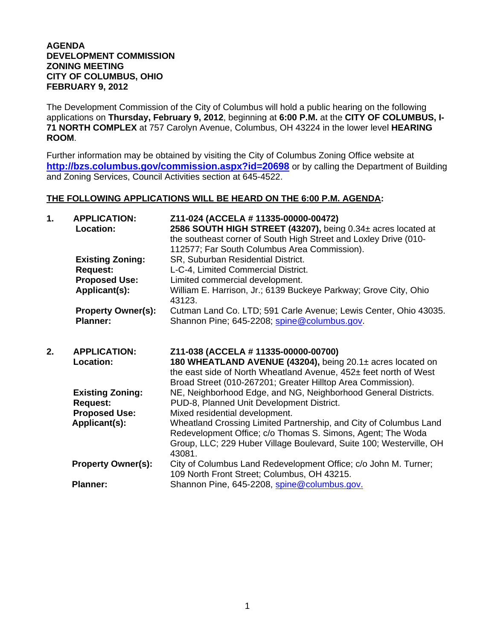## **AGENDA DEVELOPMENT COMMISSION ZONING MEETING CITY OF COLUMBUS, OHIO FEBRUARY 9, 2012**

The Development Commission of the City of Columbus will hold a public hearing on the following applications on **Thursday, February 9, 2012**, beginning at **6:00 P.M.** at the **CITY OF COLUMBUS, I-71 NORTH COMPLEX** at 757 Carolyn Avenue, Columbus, OH 43224 in the lower level **HEARING ROOM**.

Further information may be obtained by visiting the City of Columbus Zoning Office website at **http://bzs.columbus.gov/commission.aspx?id=20698** or by calling the Department of Building and Zoning Services, Council Activities section at 645-4522.

## **THE FOLLOWING APPLICATIONS WILL BE HEARD ON THE 6:00 P.M. AGENDA:**

| 1. | <b>APPLICATION:</b><br>Location:             | Z11-024 (ACCELA # 11335-00000-00472)<br>2586 SOUTH HIGH STREET (43207), being 0.34± acres located at<br>the southeast corner of South High Street and Loxley Drive (010-<br>112577; Far South Columbus Area Commission). |
|----|----------------------------------------------|--------------------------------------------------------------------------------------------------------------------------------------------------------------------------------------------------------------------------|
|    | <b>Existing Zoning:</b>                      | SR, Suburban Residential District.                                                                                                                                                                                       |
|    | <b>Request:</b><br><b>Proposed Use:</b>      | L-C-4, Limited Commercial District.<br>Limited commercial development.                                                                                                                                                   |
|    | Applicant(s):                                | William E. Harrison, Jr.; 6139 Buckeye Parkway; Grove City, Ohio<br>43123.                                                                                                                                               |
|    | <b>Property Owner(s):</b><br><b>Planner:</b> | Cutman Land Co. LTD; 591 Carle Avenue; Lewis Center, Ohio 43035.<br>Shannon Pine; 645-2208; spine@columbus.gov.                                                                                                          |
| 2. | <b>APPLICATION:</b>                          | Z11-038 (ACCELA # 11335-00000-00700)                                                                                                                                                                                     |
|    | Location:                                    | 180 WHEATLAND AVENUE (43204), being 20.1± acres located on<br>the east side of North Wheatland Avenue, 452± feet north of West<br>Broad Street (010-267201; Greater Hilltop Area Commission).                            |
|    | <b>Existing Zoning:</b><br><b>Request:</b>   | NE, Neighborhood Edge, and NG, Neighborhood General Districts.<br>PUD-8, Planned Unit Development District.                                                                                                              |
|    | <b>Proposed Use:</b>                         | Mixed residential development.                                                                                                                                                                                           |
|    | Applicant(s):                                | Wheatland Crossing Limited Partnership, and City of Columbus Land<br>Redevelopment Office; c/o Thomas S. Simons, Agent; The Woda<br>Group, LLC; 229 Huber Village Boulevard, Suite 100; Westerville, OH<br>43081.        |
|    | <b>Property Owner(s):</b>                    | City of Columbus Land Redevelopment Office; c/o John M. Turner;<br>109 North Front Street; Columbus, OH 43215.                                                                                                           |
|    | <b>Planner:</b>                              | Shannon Pine, 645-2208, spine@columbus.gov.                                                                                                                                                                              |